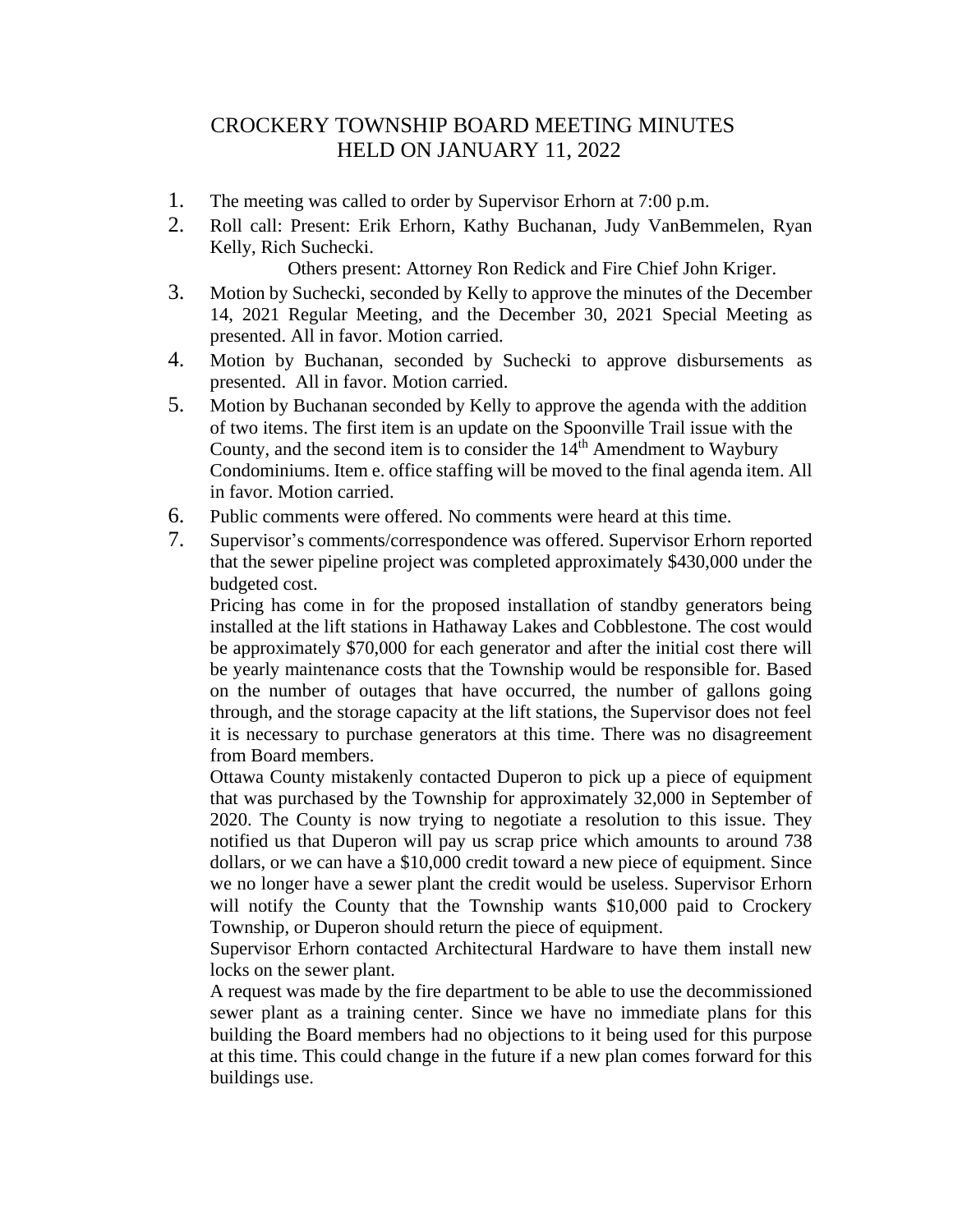## CROCKERY TOWNSHIP BOARD MEETING MINUTES HELD ON JANUARY 11, 2022

- 1. The meeting was called to order by Supervisor Erhorn at 7:00 p.m.
- 2. Roll call: Present: Erik Erhorn, Kathy Buchanan, Judy VanBemmelen, Ryan Kelly, Rich Suchecki.

Others present: Attorney Ron Redick and Fire Chief John Kriger.

- 3. Motion by Suchecki, seconded by Kelly to approve the minutes of the December 14, 2021 Regular Meeting, and the December 30, 2021 Special Meeting as presented. All in favor. Motion carried.
- 4. Motion by Buchanan, seconded by Suchecki to approve disbursements as presented. All in favor. Motion carried.
- 5. Motion by Buchanan seconded by Kelly to approve the agenda with the addition of two items. The first item is an update on the Spoonville Trail issue with the County, and the second item is to consider the  $14<sup>th</sup>$  Amendment to Waybury Condominiums. Item e. office staffing will be moved to the final agenda item. All in favor. Motion carried.
- 6. Public comments were offered. No comments were heard at this time.
- 7. Supervisor's comments/correspondence was offered. Supervisor Erhorn reported that the sewer pipeline project was completed approximately \$430,000 under the budgeted cost.

Pricing has come in for the proposed installation of standby generators being installed at the lift stations in Hathaway Lakes and Cobblestone. The cost would be approximately \$70,000 for each generator and after the initial cost there will be yearly maintenance costs that the Township would be responsible for. Based on the number of outages that have occurred, the number of gallons going through, and the storage capacity at the lift stations, the Supervisor does not feel it is necessary to purchase generators at this time. There was no disagreement from Board members.

Ottawa County mistakenly contacted Duperon to pick up a piece of equipment that was purchased by the Township for approximately 32,000 in September of 2020. The County is now trying to negotiate a resolution to this issue. They notified us that Duperon will pay us scrap price which amounts to around 738 dollars, or we can have a \$10,000 credit toward a new piece of equipment. Since we no longer have a sewer plant the credit would be useless. Supervisor Erhorn will notify the County that the Township wants \$10,000 paid to Crockery Township, or Duperon should return the piece of equipment.

Supervisor Erhorn contacted Architectural Hardware to have them install new locks on the sewer plant.

A request was made by the fire department to be able to use the decommissioned sewer plant as a training center. Since we have no immediate plans for this building the Board members had no objections to it being used for this purpose at this time. This could change in the future if a new plan comes forward for this buildings use.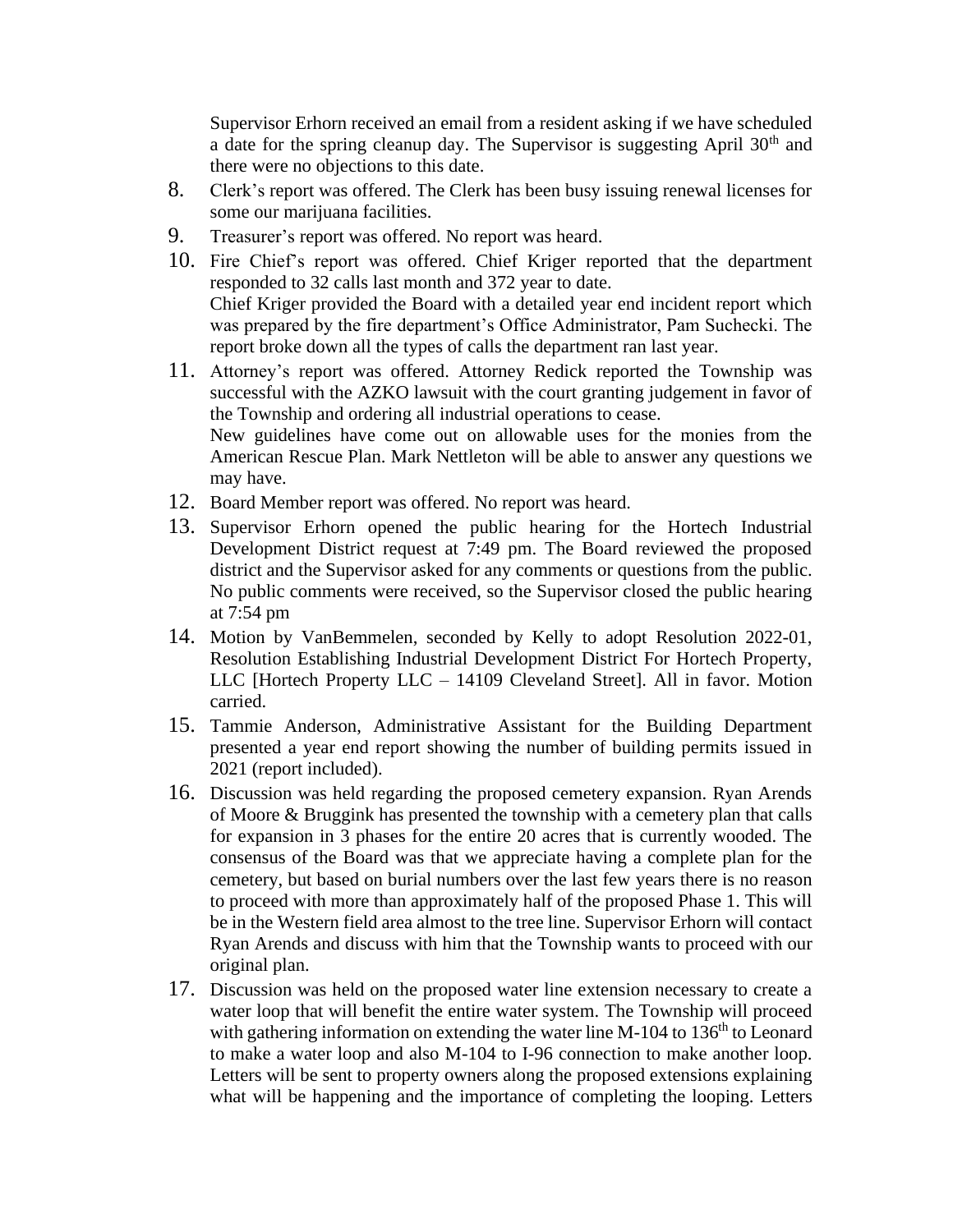Supervisor Erhorn received an email from a resident asking if we have scheduled a date for the spring cleanup day. The Supervisor is suggesting April  $30<sup>th</sup>$  and there were no objections to this date.

- 8. Clerk's report was offered. The Clerk has been busy issuing renewal licenses for some our marijuana facilities.
- 9. Treasurer's report was offered. No report was heard.
- 10. Fire Chief's report was offered. Chief Kriger reported that the department responded to 32 calls last month and 372 year to date. Chief Kriger provided the Board with a detailed year end incident report which was prepared by the fire department's Office Administrator, Pam Suchecki. The report broke down all the types of calls the department ran last year.
- 11. Attorney's report was offered. Attorney Redick reported the Township was successful with the AZKO lawsuit with the court granting judgement in favor of the Township and ordering all industrial operations to cease. New guidelines have come out on allowable uses for the monies from the American Rescue Plan. Mark Nettleton will be able to answer any questions we may have.
- 12. Board Member report was offered. No report was heard.
- 13. Supervisor Erhorn opened the public hearing for the Hortech Industrial Development District request at 7:49 pm. The Board reviewed the proposed district and the Supervisor asked for any comments or questions from the public. No public comments were received, so the Supervisor closed the public hearing at 7:54 pm
- 14. Motion by VanBemmelen, seconded by Kelly to adopt Resolution 2022-01, Resolution Establishing Industrial Development District For Hortech Property, LLC [Hortech Property LLC – 14109 Cleveland Street]. All in favor. Motion carried.
- 15. Tammie Anderson, Administrative Assistant for the Building Department presented a year end report showing the number of building permits issued in 2021 (report included).
- 16. Discussion was held regarding the proposed cemetery expansion. Ryan Arends of Moore & Bruggink has presented the township with a cemetery plan that calls for expansion in 3 phases for the entire 20 acres that is currently wooded. The consensus of the Board was that we appreciate having a complete plan for the cemetery, but based on burial numbers over the last few years there is no reason to proceed with more than approximately half of the proposed Phase 1. This will be in the Western field area almost to the tree line. Supervisor Erhorn will contact Ryan Arends and discuss with him that the Township wants to proceed with our original plan.
- 17. Discussion was held on the proposed water line extension necessary to create a water loop that will benefit the entire water system. The Township will proceed with gathering information on extending the water line  $M-104$  to  $136<sup>th</sup>$  to Leonard to make a water loop and also M-104 to I-96 connection to make another loop. Letters will be sent to property owners along the proposed extensions explaining what will be happening and the importance of completing the looping. Letters